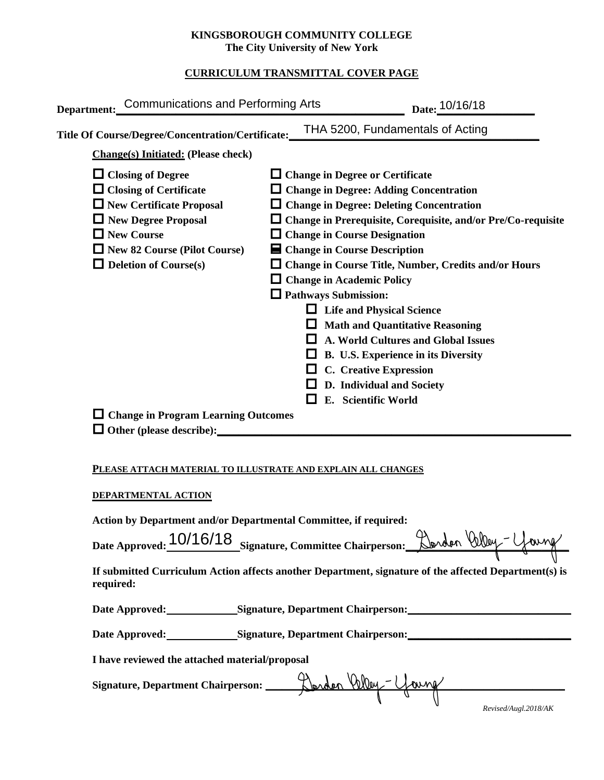### **KINGSBOROUGH COMMUNITY COLLEGE The City University of New York**

## **CURRICULUM TRANSMITTAL COVER PAGE**

|                                                              | Department: Communications and Performing Arts                                                                                                                                                                                                         |                                                                                                                                          | Date: 10/16/18                                                                                                                                                                                                                                                                                                                                                                                                                                                                                                                                  |  |  |  |  |
|--------------------------------------------------------------|--------------------------------------------------------------------------------------------------------------------------------------------------------------------------------------------------------------------------------------------------------|------------------------------------------------------------------------------------------------------------------------------------------|-------------------------------------------------------------------------------------------------------------------------------------------------------------------------------------------------------------------------------------------------------------------------------------------------------------------------------------------------------------------------------------------------------------------------------------------------------------------------------------------------------------------------------------------------|--|--|--|--|
|                                                              | Title Of Course/Degree/Concentration/Certificate:                                                                                                                                                                                                      |                                                                                                                                          | THA 5200, Fundamentals of Acting                                                                                                                                                                                                                                                                                                                                                                                                                                                                                                                |  |  |  |  |
|                                                              | <b>Change(s)</b> Initiated: (Please check)                                                                                                                                                                                                             |                                                                                                                                          |                                                                                                                                                                                                                                                                                                                                                                                                                                                                                                                                                 |  |  |  |  |
|                                                              | $\Box$ Closing of Degree<br>$\Box$ Closing of Certificate<br>New Certificate Proposal<br>New Degree Proposal<br>$\Box$ New Course<br>$\Box$ New 82 Course (Pilot Course)<br>$\Box$ Deletion of Course(s)<br>$\Box$ Change in Program Learning Outcomes | $\Box$ Change in Course Designation<br>■ Change in Course Description<br>$\Box$ Change in Academic Policy<br>$\Box$ Pathways Submission: | $\Box$ Change in Degree or Certificate<br>$\Box$ Change in Degree: Adding Concentration<br>$\Box$ Change in Degree: Deleting Concentration<br>$\Box$ Change in Prerequisite, Corequisite, and/or Pre/Co-requisite<br>$\Box$ Change in Course Title, Number, Credits and/or Hours<br>$\Box$ Life and Physical Science<br>$\Box$ Math and Quantitative Reasoning<br>$\Box$ A. World Cultures and Global Issues<br>$\Box$ B. U.S. Experience in its Diversity<br>$\Box$ C. Creative Expression<br>D. Individual and Society<br>E. Scientific World |  |  |  |  |
|                                                              |                                                                                                                                                                                                                                                        |                                                                                                                                          |                                                                                                                                                                                                                                                                                                                                                                                                                                                                                                                                                 |  |  |  |  |
| PLEASE ATTACH MATERIAL TO ILLUSTRATE AND EXPLAIN ALL CHANGES |                                                                                                                                                                                                                                                        |                                                                                                                                          |                                                                                                                                                                                                                                                                                                                                                                                                                                                                                                                                                 |  |  |  |  |
|                                                              | DEPARTMENTAL ACTION                                                                                                                                                                                                                                    |                                                                                                                                          |                                                                                                                                                                                                                                                                                                                                                                                                                                                                                                                                                 |  |  |  |  |
|                                                              | Action by Department and/or Departmental Committee, if required:                                                                                                                                                                                       |                                                                                                                                          |                                                                                                                                                                                                                                                                                                                                                                                                                                                                                                                                                 |  |  |  |  |
|                                                              | Date Approved: 10/16/18 Signature, Committee Chairperson: Dorden Way - Young                                                                                                                                                                           |                                                                                                                                          |                                                                                                                                                                                                                                                                                                                                                                                                                                                                                                                                                 |  |  |  |  |
|                                                              | required:                                                                                                                                                                                                                                              |                                                                                                                                          | If submitted Curriculum Action affects another Department, signature of the affected Department(s) is                                                                                                                                                                                                                                                                                                                                                                                                                                           |  |  |  |  |
|                                                              |                                                                                                                                                                                                                                                        |                                                                                                                                          | Date Approved: Signature, Department Chairperson: Natural Management Chairperson:                                                                                                                                                                                                                                                                                                                                                                                                                                                               |  |  |  |  |
|                                                              |                                                                                                                                                                                                                                                        |                                                                                                                                          | Date Approved: Signature, Department Chairperson: Natural Approved:                                                                                                                                                                                                                                                                                                                                                                                                                                                                             |  |  |  |  |

**I have reviewed the attached material/proposal**

**Signature, Department Chairperson: \_\_\_\_\_\_\_\_\_\_\_\_\_\_\_\_\_\_\_\_\_\_\_\_\_\_\_\_\_\_\_\_\_\_\_\_\_\_\_\_\_\_\_\_\_\_\_\_\_\_\_\_\_\_\_**

| Revised/Augl.2018/AK |  |  |
|----------------------|--|--|
|                      |  |  |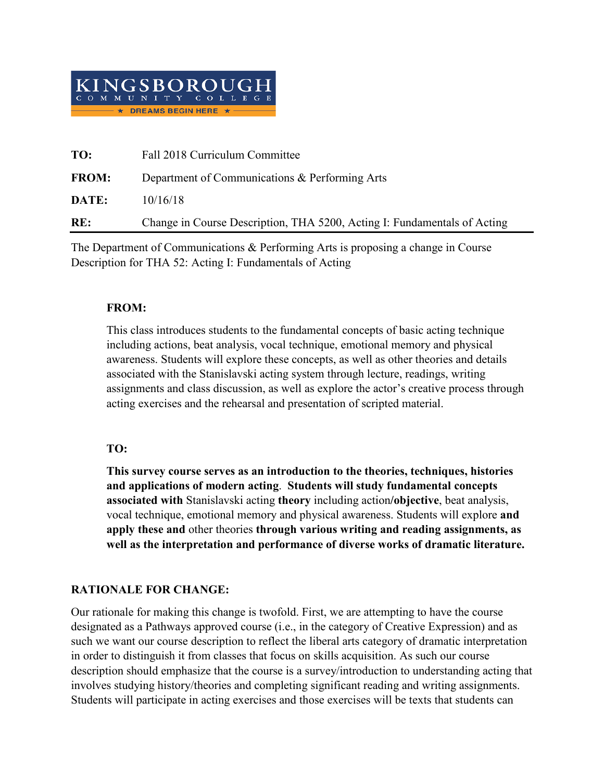

| TO:          | Fall 2018 Curriculum Committee                                           |
|--------------|--------------------------------------------------------------------------|
| <b>FROM:</b> | Department of Communications & Performing Arts                           |
| DATE:        | 10/16/18                                                                 |
| RE:          | Change in Course Description, THA 5200, Acting I: Fundamentals of Acting |

The Department of Communications & Performing Arts is proposing a change in Course Description for THA 52: Acting I: Fundamentals of Acting

## **FROM:**

This class introduces students to the fundamental concepts of basic acting technique including actions, beat analysis, vocal technique, emotional memory and physical awareness. Students will explore these concepts, as well as other theories and details associated with the Stanislavski acting system through lecture, readings, writing assignments and class discussion, as well as explore the actor's creative process through acting exercises and the rehearsal and presentation of scripted material.

# **TO:**

**This survey course serves as an introduction to the theories, techniques, histories and applications of modern acting**. **Students will study fundamental concepts associated with** Stanislavski acting **theory** including action**/objective**, beat analysis, vocal technique, emotional memory and physical awareness. Students will explore **and apply these and** other theories **through various writing and reading assignments, as well as the interpretation and performance of diverse works of dramatic literature.**

# **RATIONALE FOR CHANGE:**

Our rationale for making this change is twofold. First, we are attempting to have the course designated as a Pathways approved course (i.e., in the category of Creative Expression) and as such we want our course description to reflect the liberal arts category of dramatic interpretation in order to distinguish it from classes that focus on skills acquisition. As such our course description should emphasize that the course is a survey/introduction to understanding acting that involves studying history/theories and completing significant reading and writing assignments. Students will participate in acting exercises and those exercises will be texts that students can